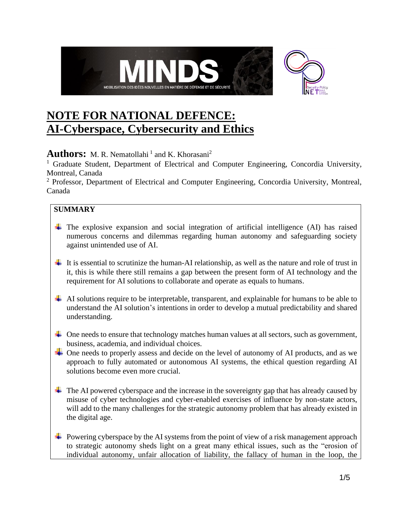

# **NOTE FOR NATIONAL DEFENCE: AI-Cyberspace, Cybersecurity and Ethics**

## **Authors:** M. R. Nematollahi<sup>1</sup> and K. Khorasani<sup>2</sup>

<sup>1</sup> Graduate Student, Department of Electrical and Computer Engineering, Concordia University, Montreal, Canada

<sup>2</sup> Professor, Department of Electrical and Computer Engineering, Concordia University, Montreal, Canada

## **SUMMARY**

- $\pm$  The explosive expansion and social integration of artificial intelligence (AI) has raised numerous concerns and dilemmas regarding human autonomy and safeguarding society against unintended use of AI.
- $\ddot{\text{I}}$  It is essential to scrutinize the human-AI relationship, as well as the nature and role of trust in it, this is while there still remains a gap between the present form of AI technology and the requirement for AI solutions to collaborate and operate as equals to humans.
- $\overline{\phantom{a}}$  AI solutions require to be interpretable, transparent, and explainable for humans to be able to understand the AI solution's intentions in order to develop a mutual predictability and shared understanding.
- $\overline{\phantom{a}}$  One needs to ensure that technology matches human values at all sectors, such as government, business, academia, and individual choices.
- $\div$  One needs to properly assess and decide on the level of autonomy of AI products, and as we approach to fully automated or autonomous AI systems, the ethical question regarding AI solutions become even more crucial.
- $\pm$  The AI powered cyberspace and the increase in the sovereignty gap that has already caused by misuse of cyber technologies and cyber-enabled exercises of influence by non-state actors, will add to the many challenges for the strategic autonomy problem that has already existed in the digital age.
- $\downarrow$  Powering cyberspace by the AI systems from the point of view of a risk management approach to strategic autonomy sheds light on a great many ethical issues, such as the "erosion of individual autonomy, unfair allocation of liability, the fallacy of human in the loop, the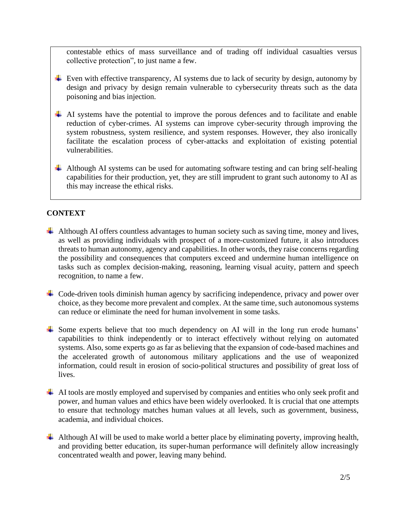contestable ethics of mass surveillance and of trading off individual casualties versus collective protection", to just name a few.

- $\overline{\text{L}}$  Even with effective transparency, AI systems due to lack of security by design, autonomy by design and privacy by design remain vulnerable to cybersecurity threats such as the data poisoning and bias injection.
- $\overline{+}$  AI systems have the potential to improve the porous defences and to facilitate and enable reduction of cyber-crimes. AI systems can improve cyber-security through improving the system robustness, system resilience, and system responses. However, they also ironically facilitate the escalation process of cyber-attacks and exploitation of existing potential vulnerabilities.
- $\overline{\phantom{a}}$  Although AI systems can be used for automating software testing and can bring self-healing capabilities for their production, yet, they are still imprudent to grant such autonomy to AI as this may increase the ethical risks.

#### **CONTEXT**

- $\overline{\phantom{a}}$  Although AI offers countless advantages to human society such as saving time, money and lives, as well as providing individuals with prospect of a more-customized future, it also introduces threats to human autonomy, agency and capabilities. In other words, they raise concerns regarding the possibility and consequences that computers exceed and undermine human intelligence on tasks such as complex decision-making, reasoning, learning visual acuity, pattern and speech recognition, to name a few.
- $\overline{\phantom{a}}$  Code-driven tools diminish human agency by sacrificing independence, privacy and power over choice, as they become more prevalent and complex. At the same time, such autonomous systems can reduce or eliminate the need for human involvement in some tasks.
- $\overline{\phantom{a}}$  Some experts believe that too much dependency on AI will in the long run erode humans' capabilities to think independently or to interact effectively without relying on automated systems. Also, some experts go as far as believing that the expansion of code-based machines and the accelerated growth of autonomous military applications and the use of weaponized information, could result in erosion of socio-political structures and possibility of great loss of lives.
- $\overline{\phantom{a}}$  AI tools are mostly employed and supervised by companies and entities who only seek profit and power, and human values and ethics have been widely overlooked. It is crucial that one attempts to ensure that technology matches human values at all levels, such as government, business, academia, and individual choices.
- $\downarrow$  Although AI will be used to make world a better place by eliminating poverty, improving health, and providing better education, its super-human performance will definitely allow increasingly concentrated wealth and power, leaving many behind.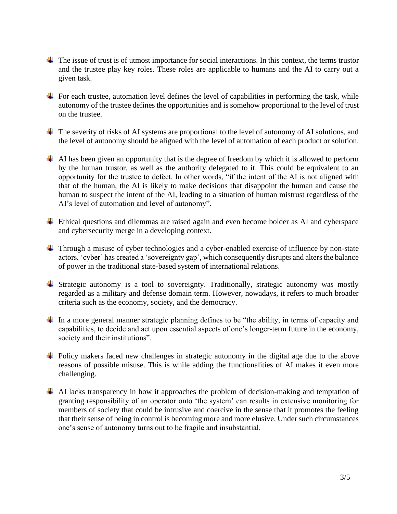- $\ddot{\phantom{a}}$  The issue of trust is of utmost importance for social interactions. In this context, the terms trustor and the trustee play key roles. These roles are applicable to humans and the AI to carry out a given task.
- $\overline{\phantom{a}}$  For each trustee, automation level defines the level of capabilities in performing the task, while autonomy of the trustee defines the opportunities and is somehow proportional to the level of trust on the trustee.
- $\overline{\phantom{a}}$  The severity of risks of AI systems are proportional to the level of autonomy of AI solutions, and the level of autonomy should be aligned with the level of automation of each product or solution.
- $\overline{\phantom{a}}$  AI has been given an opportunity that is the degree of freedom by which it is allowed to perform by the human trustor, as well as the authority delegated to it. This could be equivalent to an opportunity for the trustee to defect. In other words, "if the intent of the AI is not aligned with that of the human, the AI is likely to make decisions that disappoint the human and cause the human to suspect the intent of the AI, leading to a situation of human mistrust regardless of the AI's level of automation and level of autonomy".
- Ethical questions and dilemmas are raised again and even become bolder as AI and cyberspace and cybersecurity merge in a developing context.
- Through a misuse of cyber technologies and a cyber-enabled exercise of influence by non-state actors, 'cyber' has created a 'sovereignty gap', which consequently disrupts and alters the balance of power in the traditional state-based system of international relations.
- Strategic autonomy is a tool to sovereignty. Traditionally, strategic autonomy was mostly regarded as a military and defense domain term. However, nowadays, it refers to much broader criteria such as the economy, society, and the democracy.
- $\perp$  In a more general manner strategic planning defines to be "the ability, in terms of capacity and capabilities, to decide and act upon essential aspects of one's longer-term future in the economy, society and their institutions".
- $\overline{\phantom{a}}$  Policy makers faced new challenges in strategic autonomy in the digital age due to the above reasons of possible misuse. This is while adding the functionalities of AI makes it even more challenging.
- $\overline{\phantom{a}}$  AI lacks transparency in how it approaches the problem of decision-making and temptation of granting responsibility of an operator onto 'the system' can results in extensive monitoring for members of society that could be intrusive and coercive in the sense that it promotes the feeling that their sense of being in control is becoming more and more elusive. Under such circumstances one's sense of autonomy turns out to be fragile and insubstantial.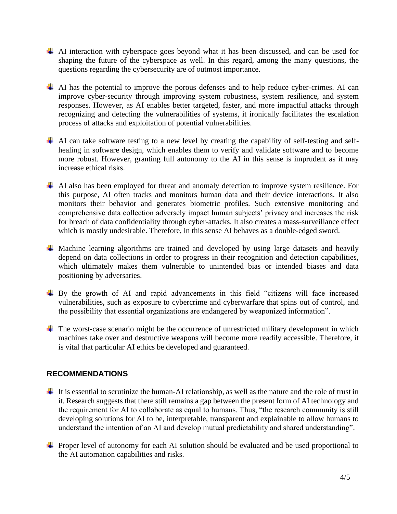- AI interaction with cyberspace goes beyond what it has been discussed, and can be used for shaping the future of the cyberspace as well. In this regard, among the many questions, the questions regarding the cybersecurity are of outmost importance.
- AI has the potential to improve the porous defenses and to help reduce cyber-crimes. AI can improve cyber-security through improving system robustness, system resilience, and system responses. However, as AI enables better targeted, faster, and more impactful attacks through recognizing and detecting the vulnerabilities of systems, it ironically facilitates the escalation process of attacks and exploitation of potential vulnerabilities.
- AI can take software testing to a new level by creating the capability of self-testing and selfhealing in software design, which enables them to verify and validate software and to become more robust. However, granting full autonomy to the AI in this sense is imprudent as it may increase ethical risks.
- $\overline{+}$  AI also has been employed for threat and anomaly detection to improve system resilience. For this purpose, AI often tracks and monitors human data and their device interactions. It also monitors their behavior and generates biometric profiles. Such extensive monitoring and comprehensive data collection adversely impact human subjects' privacy and increases the risk for breach of data confidentiality through cyber-attacks. It also creates a mass-surveillance effect which is mostly undesirable. Therefore, in this sense AI behaves as a double-edged sword.
- <sup> $\pm$ </sup> Machine learning algorithms are trained and developed by using large datasets and heavily depend on data collections in order to progress in their recognition and detection capabilities, which ultimately makes them vulnerable to unintended bias or intended biases and data positioning by adversaries.
- $\overline{\phantom{a}}$  By the growth of AI and rapid advancements in this field "citizens will face increased vulnerabilities, such as exposure to cybercrime and cyberwarfare that spins out of control, and the possibility that essential organizations are endangered by weaponized information".
- $\ddot{\phantom{1}}$  The worst-case scenario might be the occurrence of unrestricted military development in which machines take over and destructive weapons will become more readily accessible. Therefore, it is vital that particular AI ethics be developed and guaranteed.

#### **RECOMMENDATIONS**

- It is essential to scrutinize the human-AI relationship, as well as the nature and the role of trust in it. Research suggests that there still remains a gap between the present form of AI technology and the requirement for AI to collaborate as equal to humans. Thus, "the research community is still developing solutions for AI to be, interpretable, transparent and explainable to allow humans to understand the intention of an AI and develop mutual predictability and shared understanding".
- **F** Proper level of autonomy for each AI solution should be evaluated and be used proportional to the AI automation capabilities and risks.